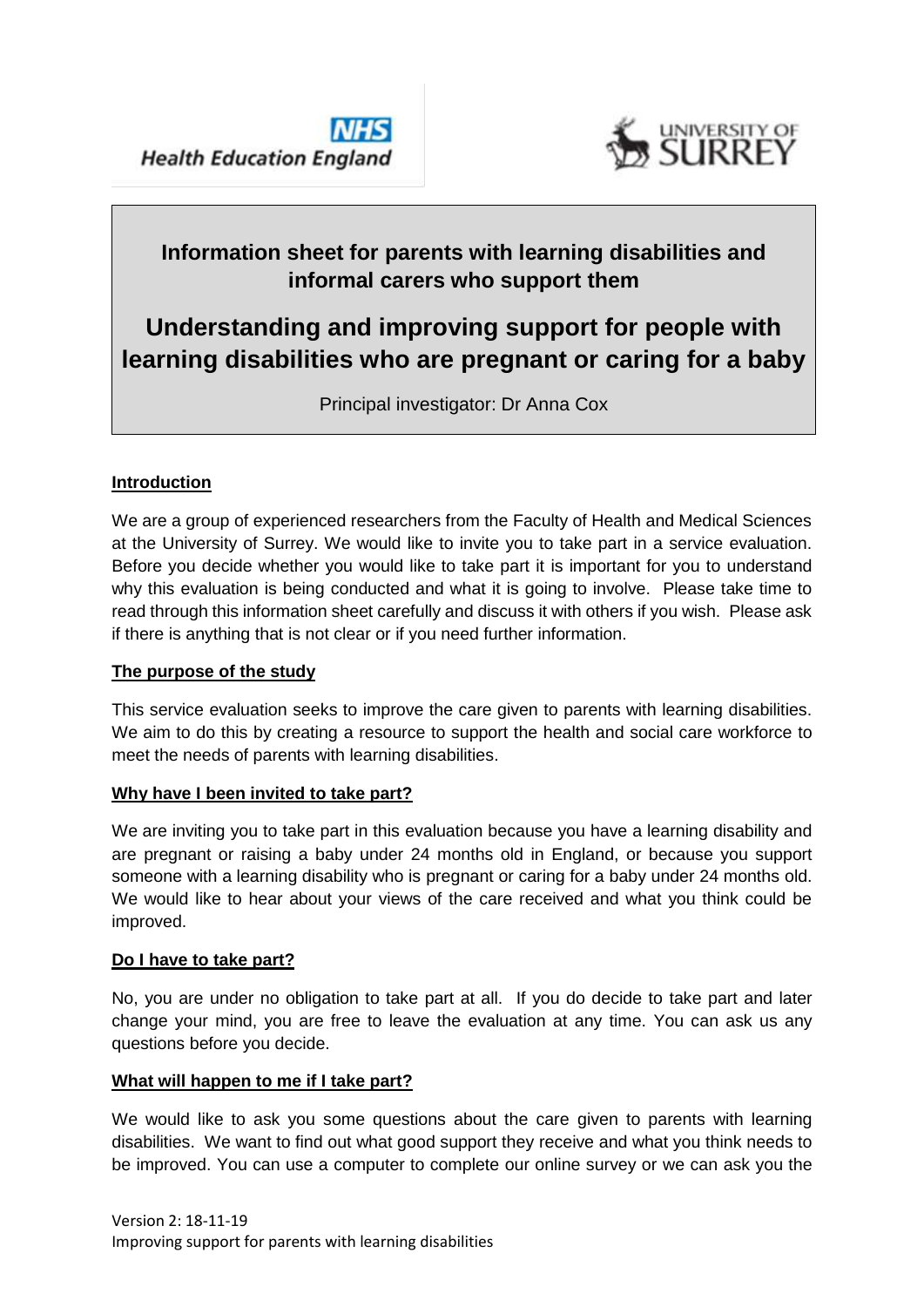



## **Information sheet for parents with learning disabilities and informal carers who support them**

# **Understanding and improving support for people with learning disabilities who are pregnant or caring for a baby**

Principal investigator: Dr Anna Cox

## **Introduction**

We are a group of experienced researchers from the Faculty of Health and Medical Sciences at the University of Surrey. We would like to invite you to take part in a service evaluation. Before you decide whether you would like to take part it is important for you to understand why this evaluation is being conducted and what it is going to involve. Please take time to read through this information sheet carefully and discuss it with others if you wish. Please ask if there is anything that is not clear or if you need further information.

## **The purpose of the study**

This service evaluation seeks to improve the care given to parents with learning disabilities. We aim to do this by creating a resource to support the health and social care workforce to meet the needs of parents with learning disabilities.

## **Why have I been invited to take part?**

We are inviting you to take part in this evaluation because you have a learning disability and are pregnant or raising a baby under 24 months old in England, or because you support someone with a learning disability who is pregnant or caring for a baby under 24 months old. We would like to hear about your views of the care received and what you think could be improved.

## **Do I have to take part?**

No, you are under no obligation to take part at all. If you do decide to take part and later change your mind, you are free to leave the evaluation at any time. You can ask us any questions before you decide.

## **What will happen to me if I take part?**

We would like to ask you some questions about the care given to parents with learning disabilities. We want to find out what good support they receive and what you think needs to be improved. You can use a computer to complete our online survey or we can ask you the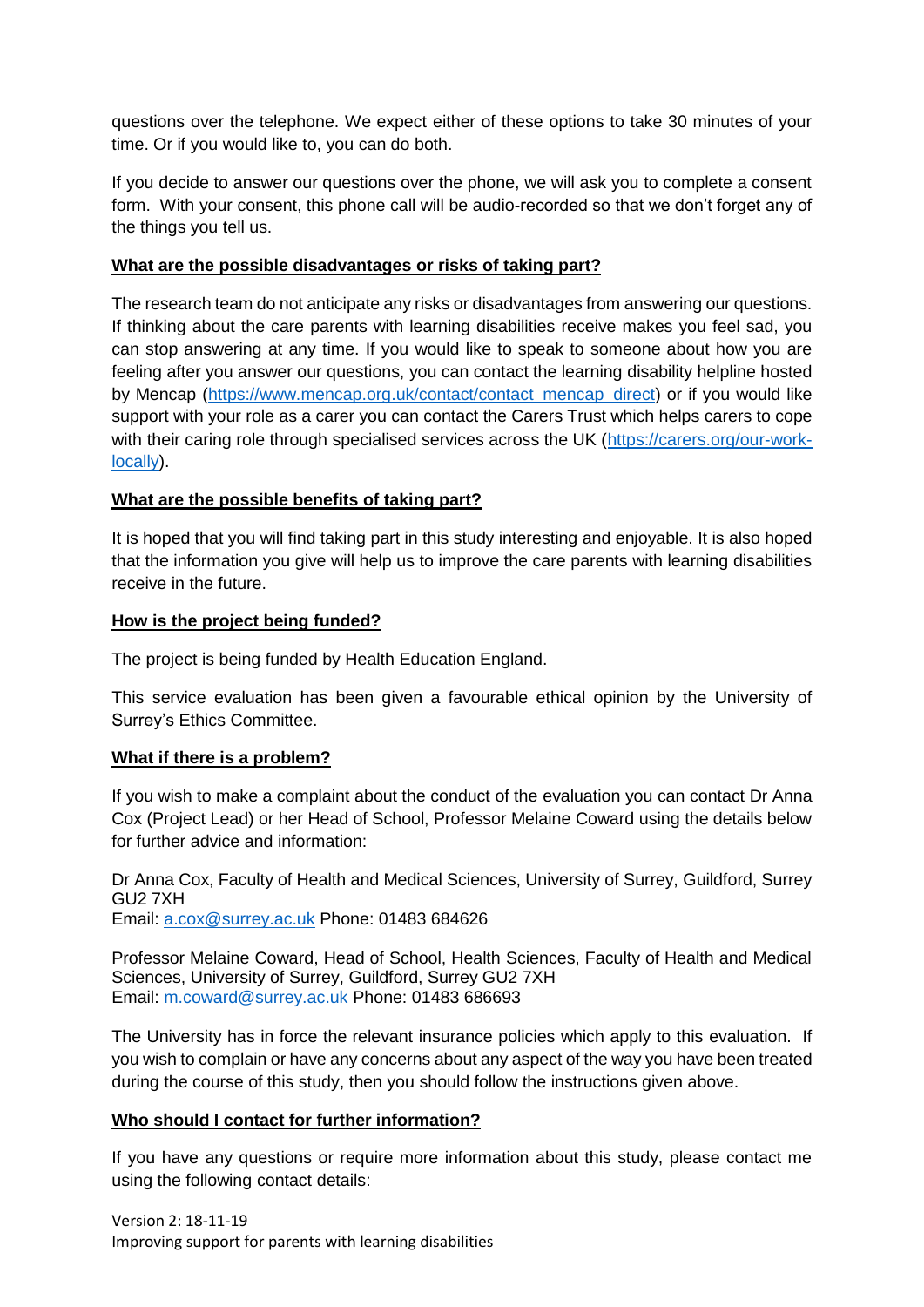questions over the telephone. We expect either of these options to take 30 minutes of your time. Or if you would like to, you can do both.

If you decide to answer our questions over the phone, we will ask you to complete a consent form. With your consent, this phone call will be audio-recorded so that we don't forget any of the things you tell us.

#### **What are the possible disadvantages or risks of taking part?**

The research team do not anticipate any risks or disadvantages from answering our questions. If thinking about the care parents with learning disabilities receive makes you feel sad, you can stop answering at any time. If you would like to speak to someone about how you are feeling after you answer our questions, you can contact the learning disability helpline hosted by Mencap [\(https://www.mencap.org.uk/contact/contact\\_mencap\\_direct\)](https://www.mencap.org.uk/contact/contact_mencap_direct) or if you would like support with your role as a carer you can contact the Carers Trust which helps carers to cope with their caring role through specialised services across the UK [\(https://carers.org/our-work](https://carers.org/our-work-locally)[locally\)](https://carers.org/our-work-locally).

## **What are the possible benefits of taking part?**

It is hoped that you will find taking part in this study interesting and enjoyable. It is also hoped that the information you give will help us to improve the care parents with learning disabilities receive in the future.

#### **How is the project being funded?**

The project is being funded by Health Education England.

This service evaluation has been given a favourable ethical opinion by the University of Surrey's Ethics Committee.

#### **What if there is a problem?**

If you wish to make a complaint about the conduct of the evaluation you can contact Dr Anna Cox (Project Lead) or her Head of School, Professor Melaine Coward using the details below for further advice and information:

Dr Anna Cox, Faculty of Health and Medical Sciences, University of Surrey, Guildford, Surrey GU2 7XH Email: [a.cox@surrey.ac.uk](mailto:a.cox@surrey.ac.uk) Phone: 01483 684626

Professor Melaine Coward, Head of School, Health Sciences, Faculty of Health and Medical Sciences, University of Surrey, Guildford, Surrey GU2 7XH Email: [m.coward@surrey.ac.uk](mailto:m.coward@surrey.ac.uk) Phone: 01483 686693

The University has in force the relevant insurance policies which apply to this evaluation. If you wish to complain or have any concerns about any aspect of the way you have been treated during the course of this study, then you should follow the instructions given above.

#### **Who should I contact for further information?**

If you have any questions or require more information about this study, please contact me using the following contact details: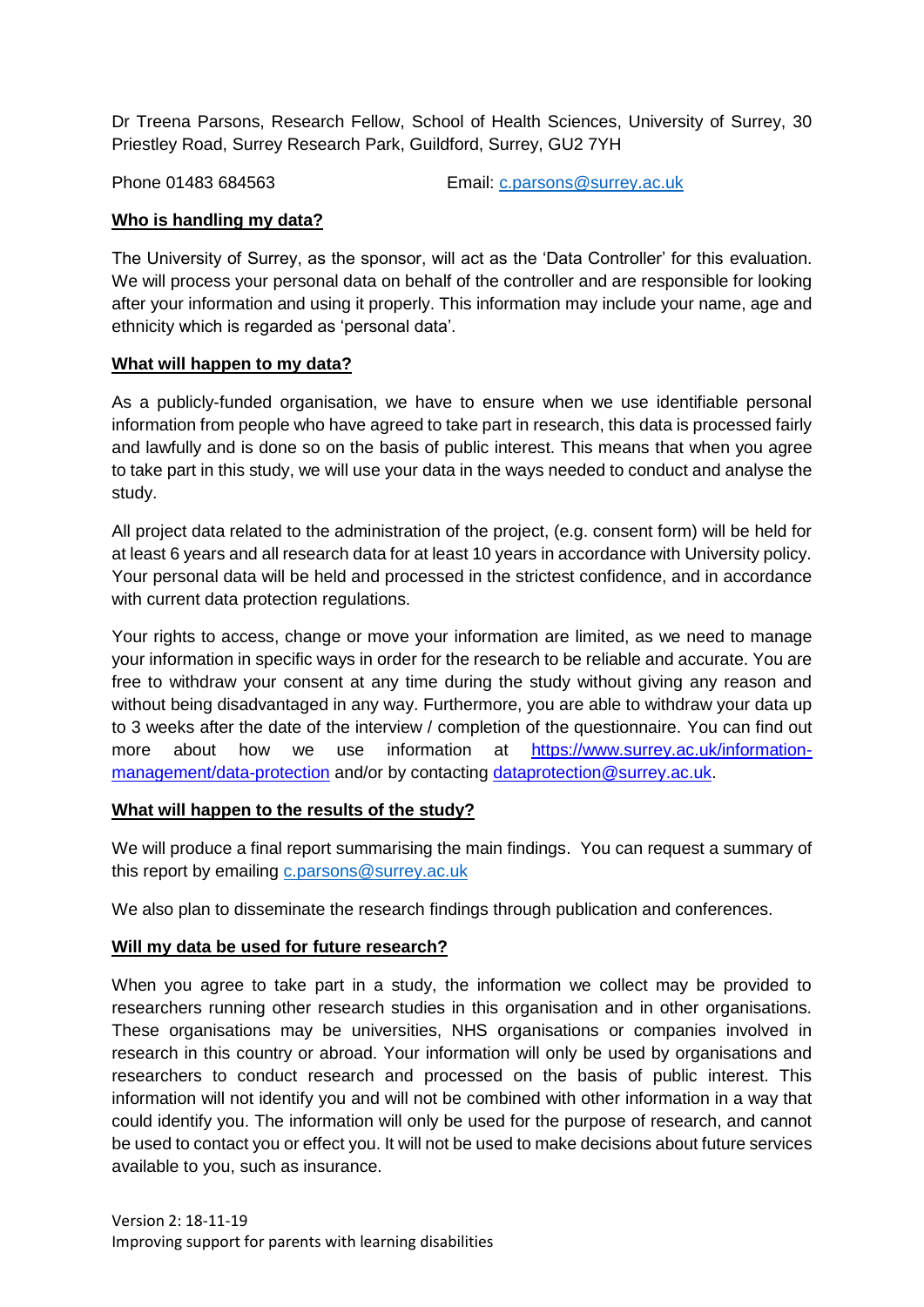Dr Treena Parsons, Research Fellow, School of Health Sciences, University of Surrey, 30 Priestley Road, Surrey Research Park, Guildford, Surrey, GU2 7YH

Phone 01483 684563 Email: [c.parsons@surrey.ac.uk](mailto:c.parsons@surrey.ac.uk)

## **Who is handling my data?**

The University of Surrey, as the sponsor, will act as the 'Data Controller' for this evaluation. We will process your personal data on behalf of the controller and are responsible for looking after your information and using it properly. This information may include your name, age and ethnicity which is regarded as 'personal data'.

## **What will happen to my data?**

As a publicly-funded organisation, we have to ensure when we use identifiable personal information from people who have agreed to take part in research, this data is processed fairly and lawfully and is done so on the basis of public interest. This means that when you agree to take part in this study, we will use your data in the ways needed to conduct and analyse the study.

All project data related to the administration of the project, (e.g. consent form) will be held for at least 6 years and all research data for at least 10 years in accordance with University policy. Your personal data will be held and processed in the strictest confidence, and in accordance with current data protection regulations.

Your rights to access, change or move your information are limited, as we need to manage your information in specific ways in order for the research to be reliable and accurate. You are free to withdraw your consent at any time during the study without giving any reason and without being disadvantaged in any way. Furthermore, you are able to withdraw your data up to 3 weeks after the date of the interview / completion of the questionnaire. You can find out more about how we use information at [https://www.surrey.ac.uk/information](https://www.surrey.ac.uk/information-management/data-protection)[management/data-protection](https://www.surrey.ac.uk/information-management/data-protection) and/or by contacting [dataprotection@surrey.ac.uk.](mailto:dataprotection@surrey.ac.uk)

## **What will happen to the results of the study?**

We will produce a final report summarising the main findings. You can request a summary of this report by emailing [c.parsons@surrey.ac.uk](mailto:c.parsons@surrey.ac.uk)

We also plan to disseminate the research findings through publication and conferences.

## **Will my data be used for future research?**

When you agree to take part in a study, the information we collect may be provided to researchers running other research studies in this organisation and in other organisations. These organisations may be universities, NHS organisations or companies involved in research in this country or abroad. Your information will only be used by organisations and researchers to conduct research and processed on the basis of public interest. This information will not identify you and will not be combined with other information in a way that could identify you. The information will only be used for the purpose of research, and cannot be used to contact you or effect you. It will not be used to make decisions about future services available to you, such as insurance.